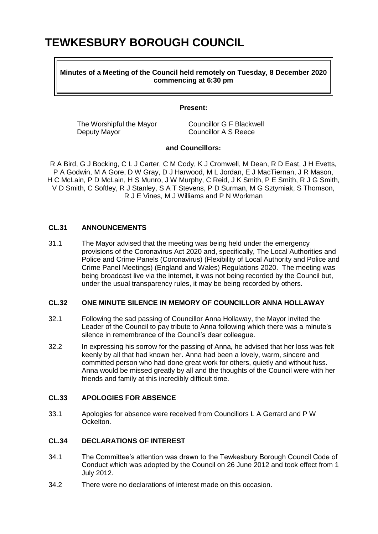# **TEWKESBURY BOROUGH COUNCIL**

**Minutes of a Meeting of the Council held remotely on Tuesday, 8 December 2020 commencing at 6:30 pm**

#### **Present:**

The Worshipful the Mayor Councillor G F Blackwell Deputy Mayor Councillor A S Reece

#### **and Councillors:**

R A Bird, G J Bocking, C L J Carter, C M Cody, K J Cromwell, M Dean, R D East, J H Evetts, P A Godwin, M A Gore, D W Gray, D J Harwood, M L Jordan, E J MacTiernan, J R Mason, H C McLain, P D McLain, H S Munro, J W Murphy, C Reid, J K Smith, P E Smith, R J G Smith, V D Smith, C Softley, R J Stanley, S A T Stevens, P D Surman, M G Sztymiak, S Thomson, R J E Vines, M J Williams and P N Workman

## **CL.31 ANNOUNCEMENTS**

31.1 The Mayor advised that the meeting was being held under the emergency provisions of the Coronavirus Act 2020 and, specifically, The Local Authorities and Police and Crime Panels (Coronavirus) (Flexibility of Local Authority and Police and Crime Panel Meetings) (England and Wales) Regulations 2020. The meeting was being broadcast live via the internet, it was not being recorded by the Council but, under the usual transparency rules, it may be being recorded by others.

## **CL.32 ONE MINUTE SILENCE IN MEMORY OF COUNCILLOR ANNA HOLLAWAY**

- 32.1 Following the sad passing of Councillor Anna Hollaway, the Mayor invited the Leader of the Council to pay tribute to Anna following which there was a minute's silence in remembrance of the Council's dear colleague.
- 32.2 In expressing his sorrow for the passing of Anna, he advised that her loss was felt keenly by all that had known her. Anna had been a lovely, warm, sincere and committed person who had done great work for others, quietly and without fuss. Anna would be missed greatly by all and the thoughts of the Council were with her friends and family at this incredibly difficult time.

#### **CL.33 APOLOGIES FOR ABSENCE**

33.1 Apologies for absence were received from Councillors L A Gerrard and P W Ockelton.

## **CL.34 DECLARATIONS OF INTEREST**

- 34.1 The Committee's attention was drawn to the Tewkesbury Borough Council Code of Conduct which was adopted by the Council on 26 June 2012 and took effect from 1 July 2012.
- 34.2 There were no declarations of interest made on this occasion.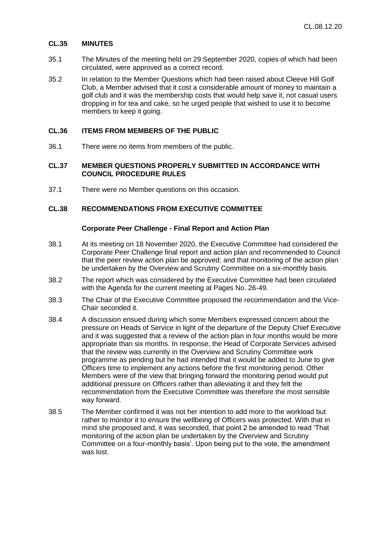#### **CL.35 MINUTES**

- 35.1 The Minutes of the meeting held on 29 September 2020, copies of which had been circulated, were approved as a correct record.
- 35.2 In relation to the Member Questions which had been raised about Cleeve Hill Golf Club, a Member advised that it cost a considerable amount of money to maintain a golf club and it was the membership costs that would help save it, not casual users dropping in for tea and cake, so he urged people that wished to use it to become members to keep it going.

## **CL.36 ITEMS FROM MEMBERS OF THE PUBLIC**

36.1 There were no items from members of the public.

## **CL.37 MEMBER QUESTIONS PROPERLY SUBMITTED IN ACCORDANCE WITH COUNCIL PROCEDURE RULES**

37.1 There were no Member questions on this occasion.

## **CL.38 RECOMMENDATIONS FROM EXECUTIVE COMMITTEE**

#### **Corporate Peer Challenge - Final Report and Action Plan**

- 38.1 At its meeting on 18 November 2020, the Executive Committee had considered the Corporate Peer Challenge final report and action plan and recommended to Council that the peer review action plan be approved; and that monitoring of the action plan be undertaken by the Overview and Scrutiny Committee on a six-monthly basis.
- 38.2 The report which was considered by the Executive Committee had been circulated with the Agenda for the current meeting at Pages No. 26-49.
- 38.3 The Chair of the Executive Committee proposed the recommendation and the Vice-Chair seconded it.
- 38.4 A discussion ensued during which some Members expressed concern about the pressure on Heads of Service in light of the departure of the Deputy Chief Executive and it was suggested that a review of the action plan in four months would be more appropriate than six months. In response, the Head of Corporate Services advised that the review was currently in the Overview and Scrutiny Committee work programme as pending but he had intended that it would be added to June to give Officers time to implement any actions before the first monitoring period. Other Members were of the view that bringing forward the monitoring period would put additional pressure on Officers rather than alleviating it and they felt the recommendation from the Executive Committee was therefore the most sensible way forward.
- 38.5 The Member confirmed it was not her intention to add more to the workload but rather to monitor it to ensure the wellbeing of Officers was protected. With that in mind she proposed and, it was seconded, that point 2 be amended to read 'That monitoring of the action plan be undertaken by the Overview and Scrutiny Committee on a four-monthly basis'. Upon being put to the vote, the amendment was lost.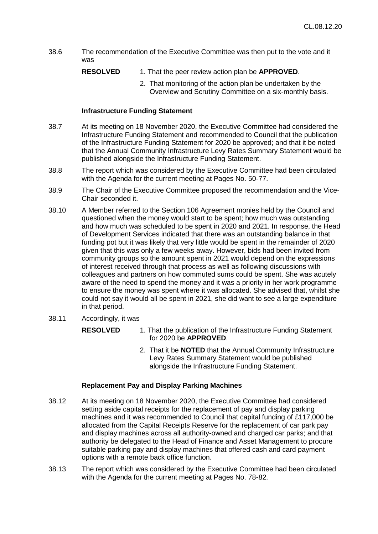- 38.6 The recommendation of the Executive Committee was then put to the vote and it was
	- **RESOLVED** 1. That the peer review action plan be **APPROVED**.
		- 2. That monitoring of the action plan be undertaken by the Overview and Scrutiny Committee on a six-monthly basis.

## **Infrastructure Funding Statement**

- 38.7 At its meeting on 18 November 2020, the Executive Committee had considered the Infrastructure Funding Statement and recommended to Council that the publication of the Infrastructure Funding Statement for 2020 be approved; and that it be noted that the Annual Community Infrastructure Levy Rates Summary Statement would be published alongside the Infrastructure Funding Statement.
- 38.8 The report which was considered by the Executive Committee had been circulated with the Agenda for the current meeting at Pages No. 50-77.
- 38.9 The Chair of the Executive Committee proposed the recommendation and the Vice-Chair seconded it.
- 38.10 A Member referred to the Section 106 Agreement monies held by the Council and questioned when the money would start to be spent; how much was outstanding and how much was scheduled to be spent in 2020 and 2021. In response, the Head of Development Services indicated that there was an outstanding balance in that funding pot but it was likely that very little would be spent in the remainder of 2020 given that this was only a few weeks away. However, bids had been invited from community groups so the amount spent in 2021 would depend on the expressions of interest received through that process as well as following discussions with colleagues and partners on how commuted sums could be spent. She was acutely aware of the need to spend the money and it was a priority in her work programme to ensure the money was spent where it was allocated. She advised that, whilst she could not say it would all be spent in 2021, she did want to see a large expenditure in that period.
- 38.11 Accordingly, it was
	- **RESOLVED** 1. That the publication of the Infrastructure Funding Statement for 2020 be **APPROVED**.
		- 2. That it be **NOTED** that the Annual Community Infrastructure Levy Rates Summary Statement would be published alongside the Infrastructure Funding Statement.

## **Replacement Pay and Display Parking Machines**

- 38.12 At its meeting on 18 November 2020, the Executive Committee had considered setting aside capital receipts for the replacement of pay and display parking machines and it was recommended to Council that capital funding of £117,000 be allocated from the Capital Receipts Reserve for the replacement of car park pay and display machines across all authority-owned and charged car parks; and that authority be delegated to the Head of Finance and Asset Management to procure suitable parking pay and display machines that offered cash and card payment options with a remote back office function.
- 38.13 The report which was considered by the Executive Committee had been circulated with the Agenda for the current meeting at Pages No. 78-82.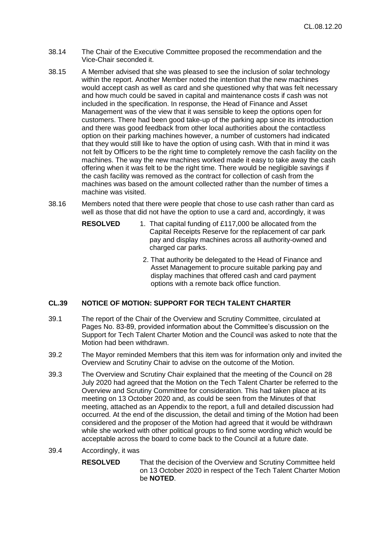- 38.14 The Chair of the Executive Committee proposed the recommendation and the Vice-Chair seconded it.
- 38.15 A Member advised that she was pleased to see the inclusion of solar technology within the report. Another Member noted the intention that the new machines would accept cash as well as card and she questioned why that was felt necessary and how much could be saved in capital and maintenance costs if cash was not included in the specification. In response, the Head of Finance and Asset Management was of the view that it was sensible to keep the options open for customers. There had been good take-up of the parking app since its introduction and there was good feedback from other local authorities about the contactless option on their parking machines however, a number of customers had indicated that they would still like to have the option of using cash. With that in mind it was not felt by Officers to be the right time to completely remove the cash facility on the machines. The way the new machines worked made it easy to take away the cash offering when it was felt to be the right time. There would be negligible savings if the cash facility was removed as the contract for collection of cash from the machines was based on the amount collected rather than the number of times a machine was visited.
- 38.16 Members noted that there were people that chose to use cash rather than card as well as those that did not have the option to use a card and, accordingly, it was
	- **RESOLVED** 1. That capital funding of £117,000 be allocated from the Capital Receipts Reserve for the replacement of car park pay and display machines across all authority-owned and charged car parks.
		- 2. That authority be delegated to the Head of Finance and Asset Management to procure suitable parking pay and display machines that offered cash and card payment options with a remote back office function.

## **CL.39 NOTICE OF MOTION: SUPPORT FOR TECH TALENT CHARTER**

- 39.1 The report of the Chair of the Overview and Scrutiny Committee, circulated at Pages No. 83-89, provided information about the Committee's discussion on the Support for Tech Talent Charter Motion and the Council was asked to note that the Motion had been withdrawn.
- 39.2 The Mayor reminded Members that this item was for information only and invited the Overview and Scrutiny Chair to advise on the outcome of the Motion.
- 39.3 The Overview and Scrutiny Chair explained that the meeting of the Council on 28 July 2020 had agreed that the Motion on the Tech Talent Charter be referred to the Overview and Scrutiny Committee for consideration. This had taken place at its meeting on 13 October 2020 and, as could be seen from the Minutes of that meeting, attached as an Appendix to the report, a full and detailed discussion had occurred. At the end of the discussion, the detail and timing of the Motion had been considered and the proposer of the Motion had agreed that it would be withdrawn while she worked with other political groups to find some wording which would be acceptable across the board to come back to the Council at a future date.
- 39.4 Accordingly, it was
	- **RESOLVED** That the decision of the Overview and Scrutiny Committee held on 13 October 2020 in respect of the Tech Talent Charter Motion be **NOTED**.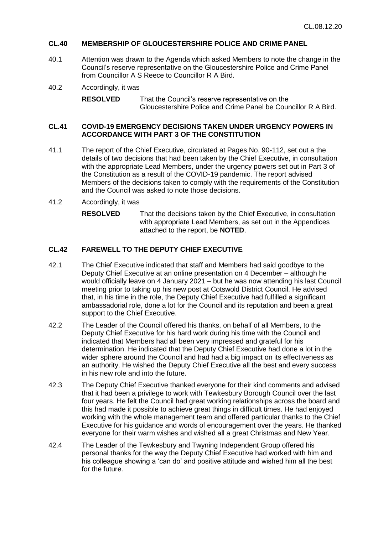## **CL.40 MEMBERSHIP OF GLOUCESTERSHIRE POLICE AND CRIME PANEL**

- 40.1 Attention was drawn to the Agenda which asked Members to note the change in the Council's reserve representative on the Gloucestershire Police and Crime Panel from Councillor A S Reece to Councillor R A Bird.
- 40.2 Accordingly, it was

**RESOLVED** That the Council's reserve representative on the Gloucestershire Police and Crime Panel be Councillor R A Bird.

## **CL.41 COVID-19 EMERGENCY DECISIONS TAKEN UNDER URGENCY POWERS IN ACCORDANCE WITH PART 3 OF THE CONSTITUTION**

- 41.1 The report of the Chief Executive, circulated at Pages No. 90-112, set out a the details of two decisions that had been taken by the Chief Executive, in consultation with the appropriate Lead Members, under the urgency powers set out in Part 3 of the Constitution as a result of the COVID-19 pandemic. The report advised Members of the decisions taken to comply with the requirements of the Constitution and the Council was asked to note those decisions.
- 41.2 Accordingly, it was
	- **RESOLVED** That the decisions taken by the Chief Executive, in consultation with appropriate Lead Members, as set out in the Appendices attached to the report, be **NOTED**.

## **CL.42 FAREWELL TO THE DEPUTY CHIEF EXECUTIVE**

- 42.1 The Chief Executive indicated that staff and Members had said goodbye to the Deputy Chief Executive at an online presentation on 4 December – although he would officially leave on 4 January 2021 – but he was now attending his last Council meeting prior to taking up his new post at Cotswold District Council. He advised that, in his time in the role, the Deputy Chief Executive had fulfilled a significant ambassadorial role, done a lot for the Council and its reputation and been a great support to the Chief Executive.
- 42.2 The Leader of the Council offered his thanks, on behalf of all Members, to the Deputy Chief Executive for his hard work during his time with the Council and indicated that Members had all been very impressed and grateful for his determination. He indicated that the Deputy Chief Executive had done a lot in the wider sphere around the Council and had had a big impact on its effectiveness as an authority. He wished the Deputy Chief Executive all the best and every success in his new role and into the future.
- 42.3 The Deputy Chief Executive thanked everyone for their kind comments and advised that it had been a privilege to work with Tewkesbury Borough Council over the last four years. He felt the Council had great working relationships across the board and this had made it possible to achieve great things in difficult times. He had enjoyed working with the whole management team and offered particular thanks to the Chief Executive for his guidance and words of encouragement over the years. He thanked everyone for their warm wishes and wished all a great Christmas and New Year.
- 42.4 The Leader of the Tewkesbury and Twyning Independent Group offered his personal thanks for the way the Deputy Chief Executive had worked with him and his colleague showing a 'can do' and positive attitude and wished him all the best for the future.